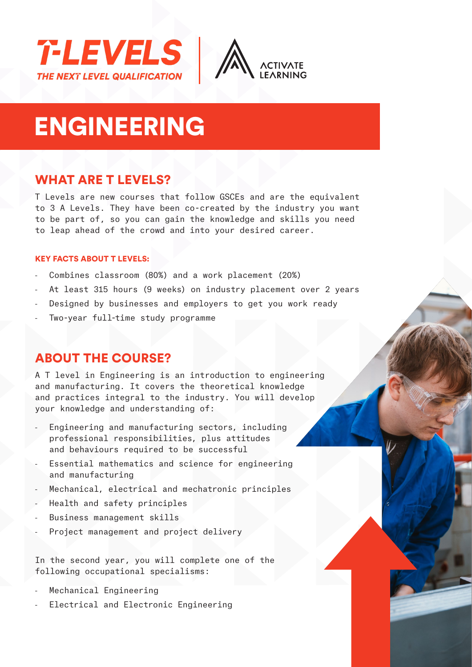



# ENGINEERING

# WHAT ARE T LEVELS?

T Levels are new courses that follow GSCEs and are the equivalent to 3 A Levels. They have been co-created by the industry you want to be part of, so you can gain the knowledge and skills you need to leap ahead of the crowd and into your desired career.

#### KEY FACTS ABOUT T LEVELS:

- Combines classroom (80%) and a work placement (20%)
- At least 315 hours (9 weeks) on industry placement over 2 years
- Designed by businesses and employers to get you work ready
- Two-year full-time study programme

# ABOUT THE COURSE?

A T level in Engineering is an introduction to engineering and manufacturing. It covers the theoretical knowledge and practices integral to the industry. You will develop your knowledge and understanding of:

- Engineering and manufacturing sectors, including professional responsibilities, plus attitudes and behaviours required to be successful
- Essential mathematics and science for engineering and manufacturing
- Mechanical, electrical and mechatronic principles
- Health and safety principles
- Business management skills
- Project management and project delivery

In the second year, you will complete one of the following occupational specialisms:

- Mechanical Engineering
- Electrical and Electronic Engineering